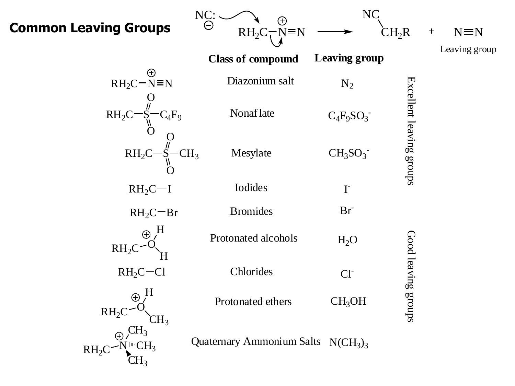#### **Common Leaving Groups**

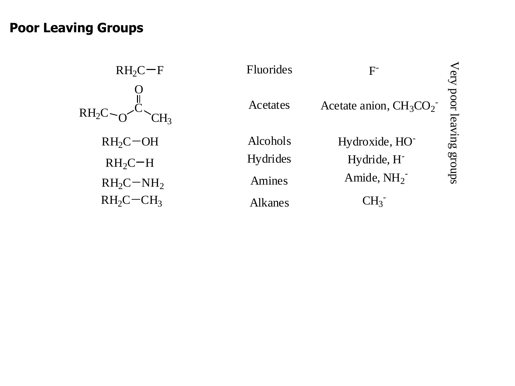#### **Poor Leaving Groups**

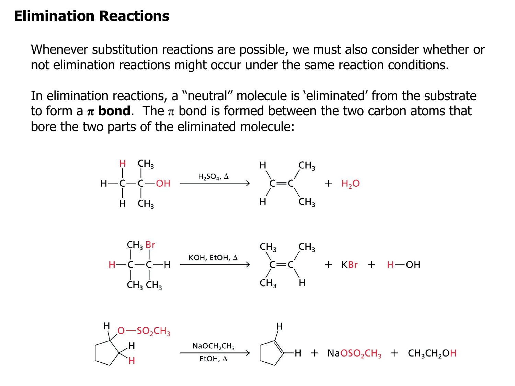## **Elimination Reactions**

Whenever substitution reactions are possible, we must also consider whether or not elimination reactions might occur under the same reaction conditions.

In elimination reactions, a "neutral" molecule is "eliminated" from the substrate to form a  $\pi$  **bond**. The  $\pi$  bond is formed between the two carbon atoms that bore the two parts of the eliminated molecule:

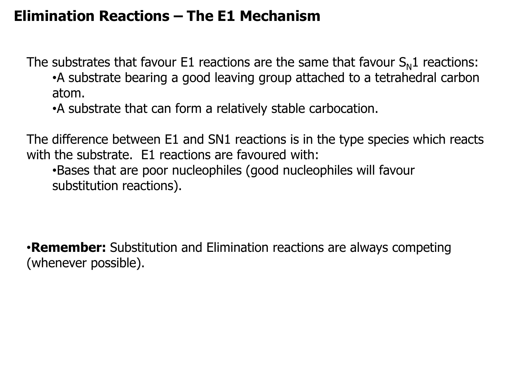## **Elimination Reactions – The E1 Mechanism**

The substrates that favour E1 reactions are the same that favour  $S_N1$  reactions: •A substrate bearing a good leaving group attached to a tetrahedral carbon atom.

•A substrate that can form a relatively stable carbocation.

The difference between E1 and SN1 reactions is in the type species which reacts with the substrate. E1 reactions are favoured with:

•Bases that are poor nucleophiles (good nucleophiles will favour substitution reactions).

•**Remember:** Substitution and Elimination reactions are always competing (whenever possible).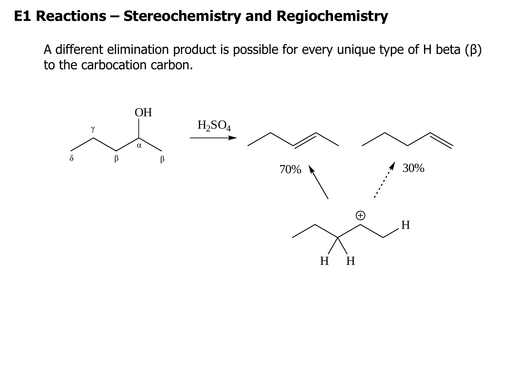#### **E1 Reactions – Stereochemistry and Regiochemistry**

A different elimination product is possible for every unique type of H beta (β) to the carbocation carbon.

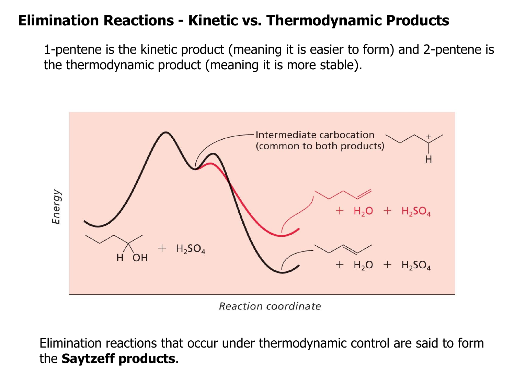### **Elimination Reactions - Kinetic vs. Thermodynamic Products**

1-pentene is the kinetic product (meaning it is easier to form) and 2-pentene is the thermodynamic product (meaning it is more stable).



**Reaction coordinate** 

Elimination reactions that occur under thermodynamic control are said to form the **Saytzeff products**.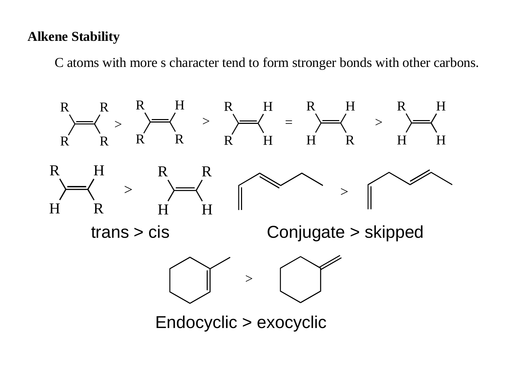#### **Alkene Stability**

C atoms with more s character tend to form stronger bonds with other carbons.

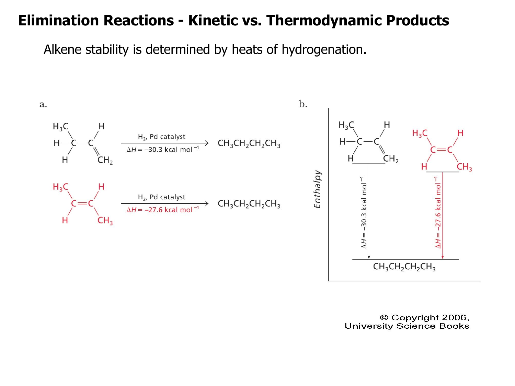#### **Elimination Reactions - Kinetic vs. Thermodynamic Products**

Alkene stability is determined by heats of hydrogenation.



© Copyright 2006, **University Science Books**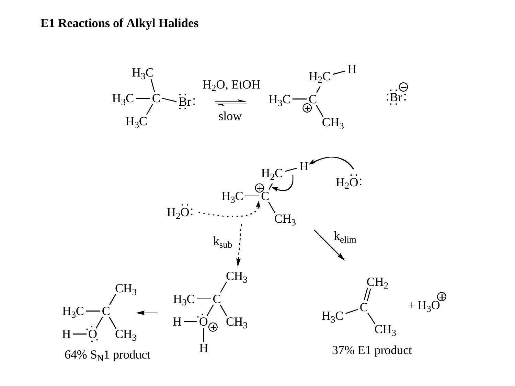#### **E1 Reactions of Alkyl Halides**

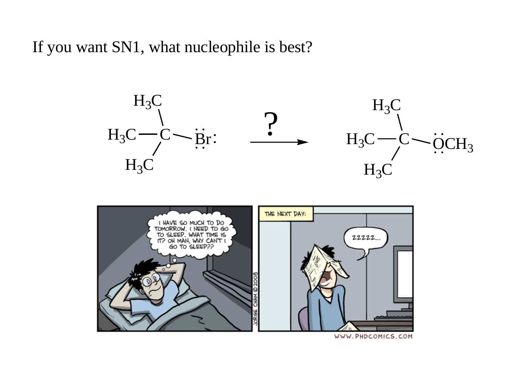If you want SN1, what nucleophile is best?





WWW.PHDCOMICS.COM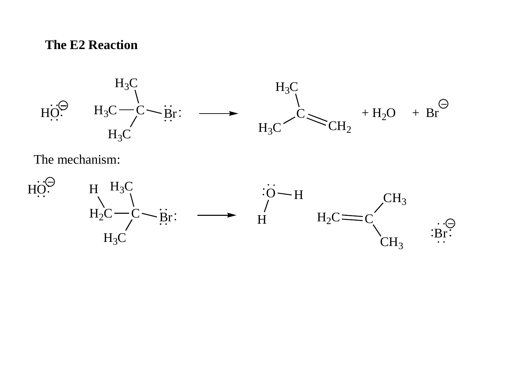#### **The E2 Reaction**



The mechanism:

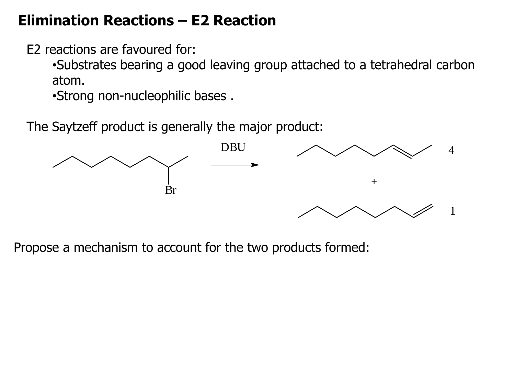### **Elimination Reactions – E2 Reaction**

E2 reactions are favoured for:

•Substrates bearing a good leaving group attached to a tetrahedral carbon atom.

•Strong non-nucleophilic bases .

The Saytzeff product is generally the major product:



Propose a mechanism to account for the two products formed: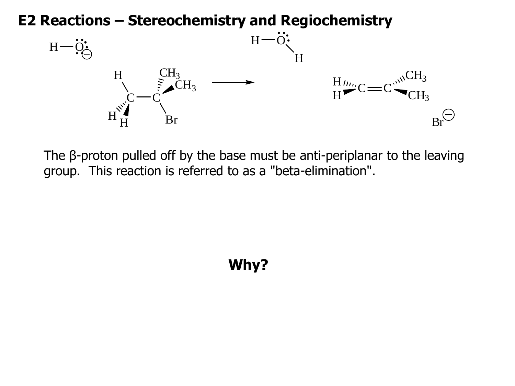#### **E2 Reactions – Stereochemistry and Regiochemistry**



The β-proton pulled off by the base must be anti-periplanar to the leaving group. This reaction is referred to as a "beta-elimination".

# **Why?**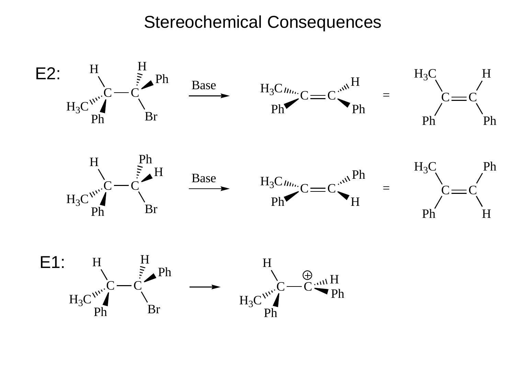# Stereochemical Consequences

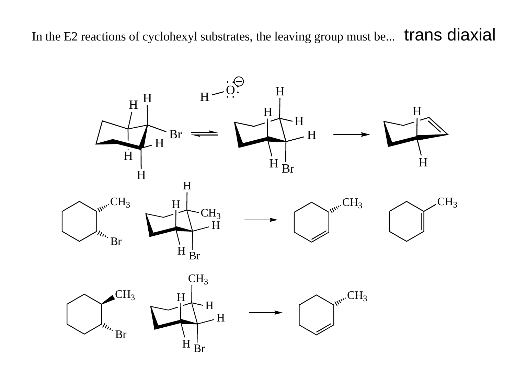In the E2 reactions of cyclohexyl substrates, the leaving group must be... trans diaxial

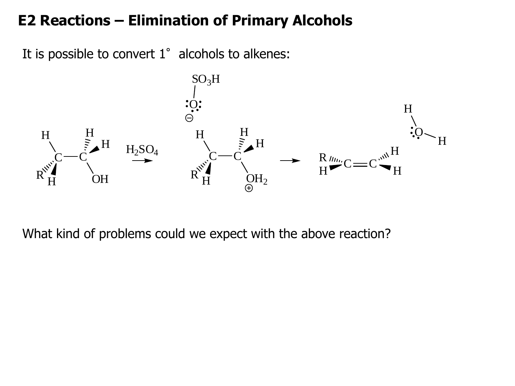### **E2 Reactions – Elimination of Primary Alcohols**

It is possible to convert  $1^\circ$  alcohols to alkenes:



What kind of problems could we expect with the above reaction?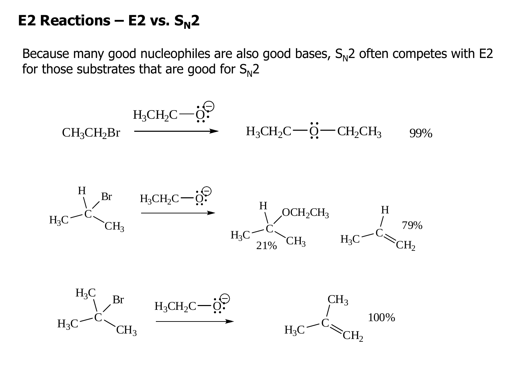#### **E2 Reactions – E2 vs.**  $S_N$ **2**

Because many good nucleophiles are also good bases,  $S_N^2$  often competes with E2 for those substrates that are good for  $S_N$ 2

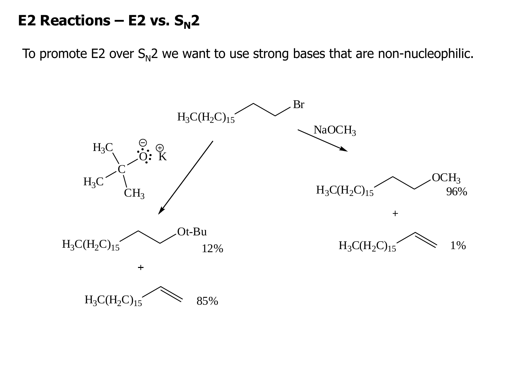### **E2 Reactions – E2 vs.**  $S_N$ **2**

To promote E2 over  $S_N^2$  we want to use strong bases that are non-nucleophilic.

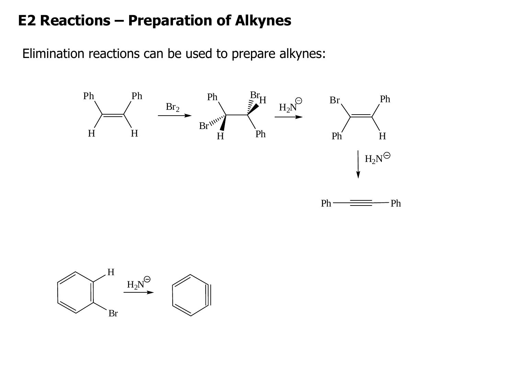### **E2 Reactions – Preparation of Alkynes**

Elimination reactions can be used to prepare alkynes:



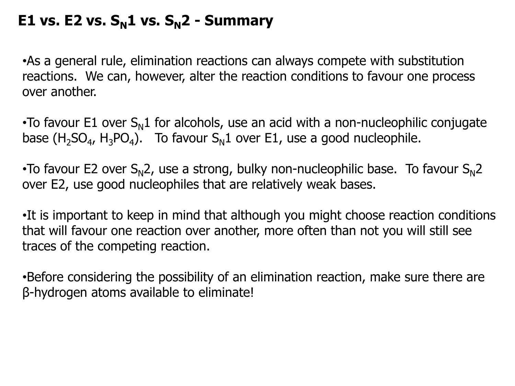# **E1 vs. E2 vs.**  $S_N$ **1 vs.**  $S_N$ **2 - Summary**

•As a general rule, elimination reactions can always compete with substitution reactions. We can, however, alter the reaction conditions to favour one process over another.

•To favour E1 over  $S_N1$  for alcohols, use an acid with a non-nucleophilic conjugate base (H<sub>2</sub>SO<sub>4</sub>, H<sub>3</sub>PO<sub>4</sub>). To favour S<sub>N</sub>1 over E1, use a good nucleophile.

•To favour E2 over  $S_N$ 2, use a strong, bulky non-nucleophilic base. To favour  $S_N$ 2 over E2, use good nucleophiles that are relatively weak bases.

•It is important to keep in mind that although you might choose reaction conditions that will favour one reaction over another, more often than not you will still see traces of the competing reaction.

•Before considering the possibility of an elimination reaction, make sure there are β-hydrogen atoms available to eliminate!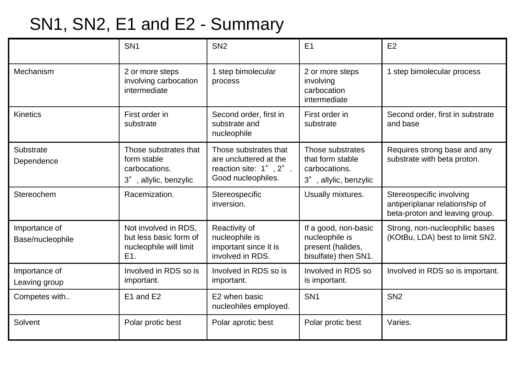# SN1, SN2, E1 and E2 - Summary

|                                   | SN <sub>1</sub>                                                                 | SN <sub>2</sub>                                                                                                 | E <sub>1</sub>                                                                      | E2                                                                                           |
|-----------------------------------|---------------------------------------------------------------------------------|-----------------------------------------------------------------------------------------------------------------|-------------------------------------------------------------------------------------|----------------------------------------------------------------------------------------------|
| Mechanism                         | 2 or more steps<br>involving carbocation<br>intermediate                        | 1 step bimolecular<br>process                                                                                   | 2 or more steps<br>involving<br>carbocation<br>intermediate                         | 1 step bimolecular process                                                                   |
| <b>Kinetics</b>                   | First order in<br>substrate                                                     | Second order, first in<br>substrate and<br>nucleophile                                                          | First order in<br>substrate                                                         | Second order, first in substrate<br>and base                                                 |
| Substrate<br>Dependence           | Those substrates that<br>form stable<br>carbocations.<br>3°, allylic, benzylic  | Those substrates that<br>are uncluttered at the<br>reaction site: $1^\circ$ , $2^\circ$ .<br>Good nucleophiles. | Those substrates<br>that form stable<br>carbocations.<br>3°, allylic, benzylic      | Requires strong base and any<br>substrate with beta proton.                                  |
| Stereochem                        | Racemization.                                                                   | Stereospecific<br>inversion.                                                                                    | Usually mixtures.                                                                   | Stereospecific involving<br>antiperiplanar relationship of<br>beta-proton and leaving group. |
| Importance of<br>Base/nucleophile | Not involved in RDS,<br>but less basic form of<br>nucleophile will limit<br>E1. | Reactivity of<br>nucleophile is<br>important since it is<br>involved in RDS.                                    | If a good, non-basic<br>nucleophile is<br>present (halides,<br>bisulfate) then SN1. | Strong, non-nucleophilic bases<br>(KOtBu, LDA) best to limit SN2.                            |
| Importance of<br>Leaving group    | Involved in RDS so is<br>important.                                             | Involved in RDS so is<br>important.                                                                             | Involved in RDS so<br>is important.                                                 | Involved in RDS so is important.                                                             |
| Competes with                     | E1 and E2                                                                       | E2 when basic<br>nucleohiles employed.                                                                          | SN <sub>1</sub>                                                                     | SN <sub>2</sub>                                                                              |
| Solvent                           | Polar protic best                                                               | Polar aprotic best                                                                                              | Polar protic best                                                                   | Varies.                                                                                      |